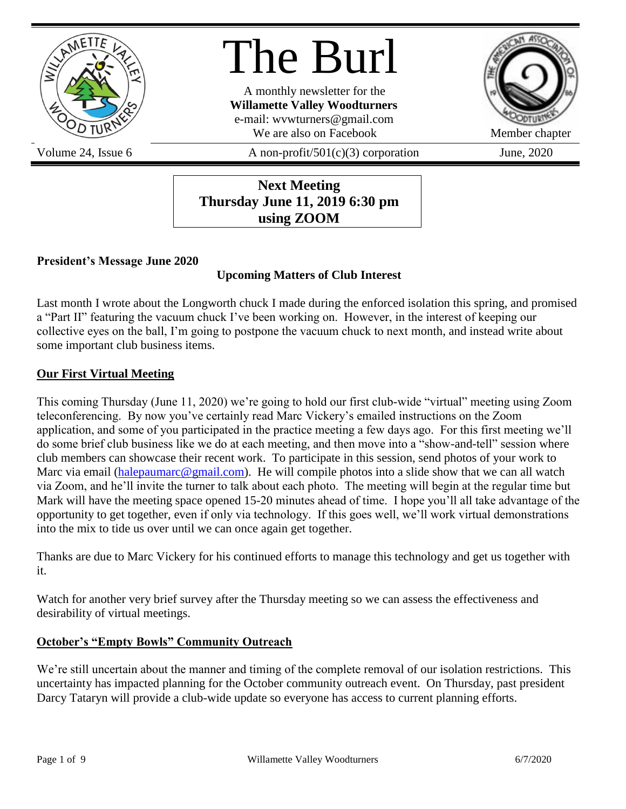

The Burl

A monthly newsletter for the **Willamette Valley Woodturners** e-mail: wvwturners@gmail.com We are also on Facebook Member chapter



Volume 24, Issue 6  $\alpha$  A non-profit/501(c)(3) corporation June, 2020

**Next Meeting Thursday June 11, 2019 6:30 pm using ZOOM**

### **President's Message June 2020**

# **Upcoming Matters of Club Interest**

Last month I wrote about the Longworth chuck I made during the enforced isolation this spring, and promised a "Part II" featuring the vacuum chuck I've been working on. However, in the interest of keeping our collective eyes on the ball, I'm going to postpone the vacuum chuck to next month, and instead write about some important club business items.

### **Our First Virtual Meeting**

This coming Thursday (June 11, 2020) we're going to hold our first club-wide "virtual" meeting using Zoom teleconferencing. By now you've certainly read Marc Vickery's emailed instructions on the Zoom application, and some of you participated in the practice meeting a few days ago. For this first meeting we'll do some brief club business like we do at each meeting, and then move into a "show-and-tell" session where club members can showcase their recent work. To participate in this session, send photos of your work to Marc via email [\(halepaumarc@gmail.com\)](mailto:halepaumarc@gmail.com). He will compile photos into a slide show that we can all watch via Zoom, and he'll invite the turner to talk about each photo. The meeting will begin at the regular time but Mark will have the meeting space opened 15-20 minutes ahead of time. I hope you'll all take advantage of the opportunity to get together, even if only via technology. If this goes well, we'll work virtual demonstrations into the mix to tide us over until we can once again get together.

Thanks are due to Marc Vickery for his continued efforts to manage this technology and get us together with it.

Watch for another very brief survey after the Thursday meeting so we can assess the effectiveness and desirability of virtual meetings.

### **October's "Empty Bowls" Community Outreach**

We're still uncertain about the manner and timing of the complete removal of our isolation restrictions. This uncertainty has impacted planning for the October community outreach event. On Thursday, past president Darcy Tataryn will provide a club-wide update so everyone has access to current planning efforts.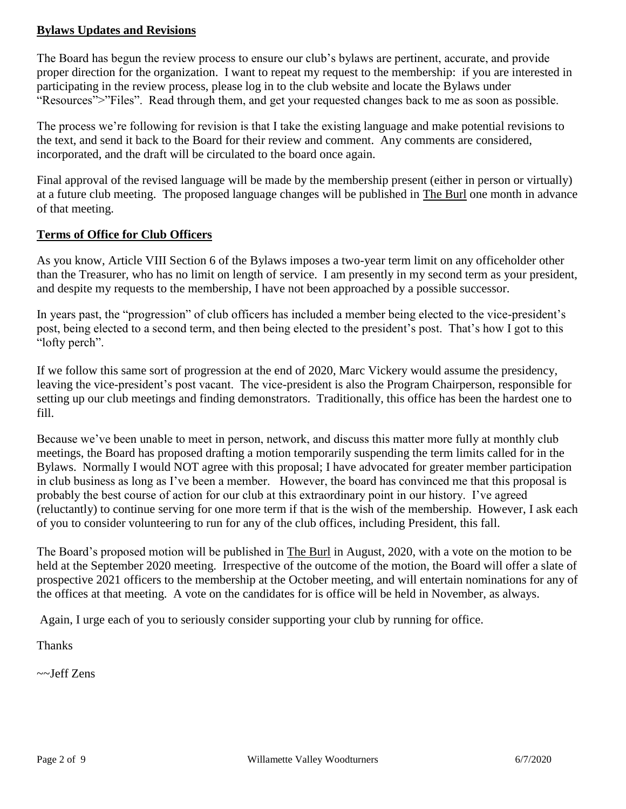### **Bylaws Updates and Revisions**

The Board has begun the review process to ensure our club's bylaws are pertinent, accurate, and provide proper direction for the organization. I want to repeat my request to the membership: if you are interested in participating in the review process, please log in to the club website and locate the Bylaws under "Resources">"Files". Read through them, and get your requested changes back to me as soon as possible.

The process we're following for revision is that I take the existing language and make potential revisions to the text, and send it back to the Board for their review and comment. Any comments are considered, incorporated, and the draft will be circulated to the board once again.

Final approval of the revised language will be made by the membership present (either in person or virtually) at a future club meeting. The proposed language changes will be published in The Burl one month in advance of that meeting.

### **Terms of Office for Club Officers**

As you know, Article VIII Section 6 of the Bylaws imposes a two-year term limit on any officeholder other than the Treasurer, who has no limit on length of service. I am presently in my second term as your president, and despite my requests to the membership, I have not been approached by a possible successor.

In years past, the "progression" of club officers has included a member being elected to the vice-president's post, being elected to a second term, and then being elected to the president's post. That's how I got to this "lofty perch".

If we follow this same sort of progression at the end of 2020, Marc Vickery would assume the presidency, leaving the vice-president's post vacant. The vice-president is also the Program Chairperson, responsible for setting up our club meetings and finding demonstrators. Traditionally, this office has been the hardest one to fill.

Because we've been unable to meet in person, network, and discuss this matter more fully at monthly club meetings, the Board has proposed drafting a motion temporarily suspending the term limits called for in the Bylaws. Normally I would NOT agree with this proposal; I have advocated for greater member participation in club business as long as I've been a member. However, the board has convinced me that this proposal is probably the best course of action for our club at this extraordinary point in our history. I've agreed (reluctantly) to continue serving for one more term if that is the wish of the membership. However, I ask each of you to consider volunteering to run for any of the club offices, including President, this fall.

The Board's proposed motion will be published in The Burl in August, 2020, with a vote on the motion to be held at the September 2020 meeting. Irrespective of the outcome of the motion, the Board will offer a slate of prospective 2021 officers to the membership at the October meeting, and will entertain nominations for any of the offices at that meeting. A vote on the candidates for is office will be held in November, as always.

Again, I urge each of you to seriously consider supporting your club by running for office.

Thanks

~~Jeff Zens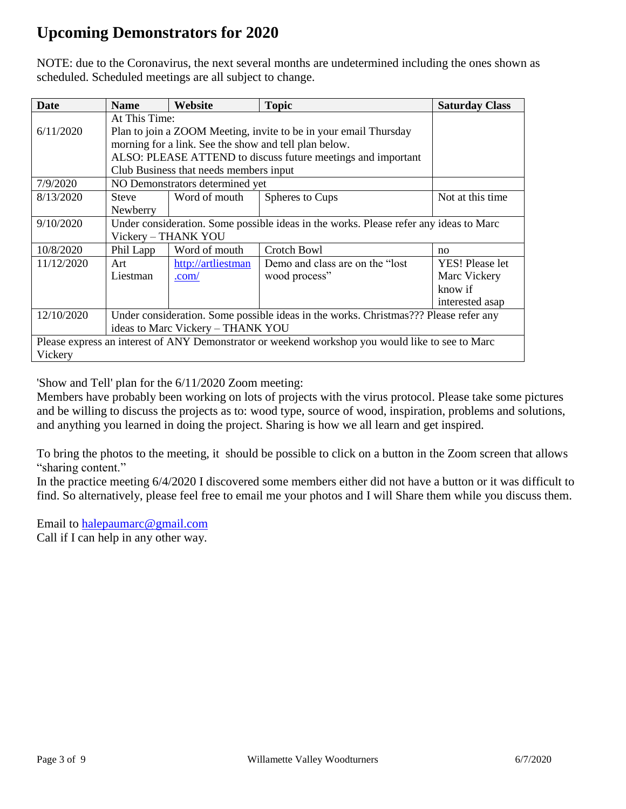# **Upcoming Demonstrators for 2020**

NOTE: due to the Coronavirus, the next several months are undetermined including the ones shown as scheduled. Scheduled meetings are all subject to change.

| <b>Date</b>                                                                                      | <b>Name</b>                                                                           | Website                                                      | <b>Topic</b>                     | <b>Saturday Class</b> |  |
|--------------------------------------------------------------------------------------------------|---------------------------------------------------------------------------------------|--------------------------------------------------------------|----------------------------------|-----------------------|--|
|                                                                                                  | At This Time:                                                                         |                                                              |                                  |                       |  |
| 6/11/2020                                                                                        | Plan to join a ZOOM Meeting, invite to be in your email Thursday                      |                                                              |                                  |                       |  |
|                                                                                                  |                                                                                       | morning for a link. See the show and tell plan below.        |                                  |                       |  |
|                                                                                                  |                                                                                       | ALSO: PLEASE ATTEND to discuss future meetings and important |                                  |                       |  |
|                                                                                                  |                                                                                       | Club Business that needs members input                       |                                  |                       |  |
| 7/9/2020                                                                                         | NO Demonstrators determined yet                                                       |                                                              |                                  |                       |  |
| 8/13/2020                                                                                        | <b>Steve</b>                                                                          | Word of mouth                                                | Spheres to Cups                  | Not at this time      |  |
|                                                                                                  | Newberry                                                                              |                                                              |                                  |                       |  |
| 9/10/2020                                                                                        | Under consideration. Some possible ideas in the works. Please refer any ideas to Marc |                                                              |                                  |                       |  |
|                                                                                                  | Vickery - THANK YOU                                                                   |                                                              |                                  |                       |  |
| 10/8/2020                                                                                        | Phil Lapp                                                                             | Word of mouth                                                | Crotch Bowl                      | no                    |  |
| 11/12/2020                                                                                       | Art                                                                                   | http://artliestman                                           | Demo and class are on the "lost" | YES! Please let       |  |
|                                                                                                  | Liestman                                                                              | $.com/$                                                      | wood process"                    | Marc Vickery          |  |
|                                                                                                  |                                                                                       |                                                              |                                  | know if               |  |
|                                                                                                  |                                                                                       |                                                              |                                  | interested asap       |  |
| 12/10/2020                                                                                       | Under consideration. Some possible ideas in the works. Christmas??? Please refer any  |                                                              |                                  |                       |  |
|                                                                                                  | ideas to Marc Vickery - THANK YOU                                                     |                                                              |                                  |                       |  |
| Please express an interest of ANY Demonstrator or weekend workshop you would like to see to Marc |                                                                                       |                                                              |                                  |                       |  |
| Vickery                                                                                          |                                                                                       |                                                              |                                  |                       |  |

'Show and Tell' plan for the 6/11/2020 Zoom meeting:

Members have probably been working on lots of projects with the virus protocol. Please take some pictures and be willing to discuss the projects as to: wood type, source of wood, inspiration, problems and solutions, and anything you learned in doing the project. Sharing is how we all learn and get inspired.

To bring the photos to the meeting, it should be possible to click on a button in the Zoom screen that allows "sharing content."

In the practice meeting 6/4/2020 I discovered some members either did not have a button or it was difficult to find. So alternatively, please feel free to email me your photos and I will Share them while you discuss them.

Email to [halepaumarc@gmail.com](mailto:halepaumarc@gmail.com) Call if I can help in any other way.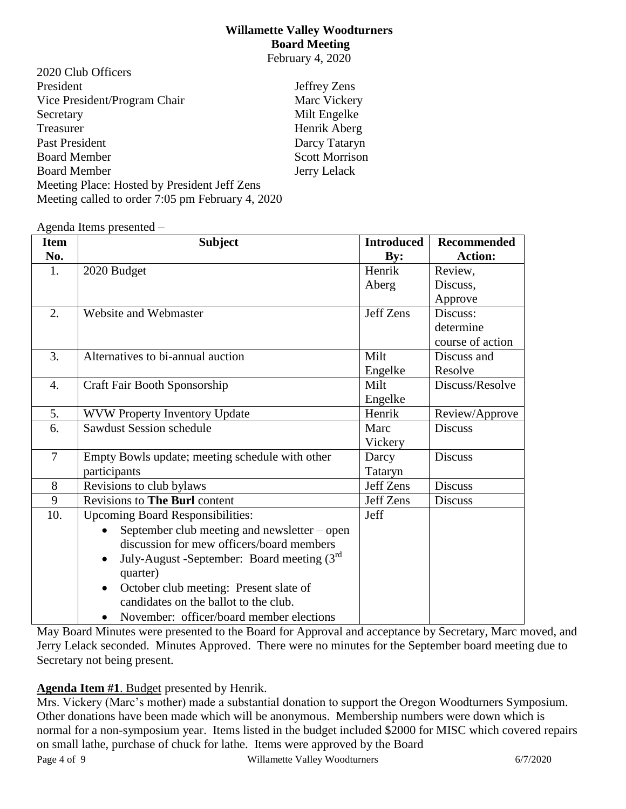### **Willamette Valley Woodturners Board Meeting** February 4, 2020

| 2020 Club Officers                               |                       |
|--------------------------------------------------|-----------------------|
| President                                        | Jeffrey Zens          |
| Vice President/Program Chair                     | Marc Vickery          |
| Secretary                                        | Milt Engelke          |
| Treasurer                                        | Henrik Aberg          |
| Past President                                   | Darcy Tataryn         |
| <b>Board Member</b>                              | <b>Scott Morrison</b> |
| <b>Board Member</b>                              | Jerry Lelack          |
| Meeting Place: Hosted by President Jeff Zens     |                       |
| Meeting called to order 7:05 pm February 4, 2020 |                       |

Agenda Items presented –

| <b>Item</b>      | <b>Subject</b>                                             | <b>Introduced</b> | <b>Recommended</b> |
|------------------|------------------------------------------------------------|-------------------|--------------------|
| No.              |                                                            | $\mathbf{By:}$    | <b>Action:</b>     |
| 1.               | 2020 Budget                                                | Henrik            | Review,            |
|                  |                                                            | Aberg             | Discuss,           |
|                  |                                                            |                   | Approve            |
| 2.               | Website and Webmaster                                      | Jeff Zens         | Discuss:           |
|                  |                                                            |                   | determine          |
|                  |                                                            |                   | course of action   |
| 3.               | Alternatives to bi-annual auction                          | Milt              | Discuss and        |
|                  |                                                            | Engelke           | Resolve            |
| $\overline{4}$ . | Craft Fair Booth Sponsorship                               | Milt              | Discuss/Resolve    |
|                  |                                                            | Engelke           |                    |
| 5.               | WVW Property Inventory Update                              | Henrik            | Review/Approve     |
| 6.               | <b>Sawdust Session schedule</b>                            | Marc              | <b>Discuss</b>     |
|                  |                                                            | Vickery           |                    |
| $\overline{7}$   | Empty Bowls update; meeting schedule with other            | Darcy             | <b>Discuss</b>     |
|                  | participants                                               | Tataryn           |                    |
| 8                | Revisions to club bylaws                                   | Jeff Zens         | <b>Discuss</b>     |
| 9                | <b>Revisions to The Burl content</b>                       | Jeff Zens         | Discuss            |
| 10.              | <b>Upcoming Board Responsibilities:</b>                    | Jeff              |                    |
|                  | September club meeting and newsletter – open               |                   |                    |
|                  | discussion for mew officers/board members                  |                   |                    |
|                  | July-August -September: Board meeting $(3rd)$<br>$\bullet$ |                   |                    |
|                  | quarter)                                                   |                   |                    |
|                  | October club meeting: Present slate of                     |                   |                    |
|                  | candidates on the ballot to the club.                      |                   |                    |
|                  | November: officer/board member elections<br>$\bullet$      |                   |                    |

May Board Minutes were presented to the Board for Approval and acceptance by Secretary, Marc moved, and Jerry Lelack seconded. Minutes Approved. There were no minutes for the September board meeting due to Secretary not being present.

### **Agenda Item #1**. Budget presented by Henrik.

Page 4 of 9 Willamette Valley Woodturners 6/7/2020 Mrs. Vickery (Marc's mother) made a substantial donation to support the Oregon Woodturners Symposium. Other donations have been made which will be anonymous. Membership numbers were down which is normal for a non-symposium year. Items listed in the budget included \$2000 for MISC which covered repairs on small lathe, purchase of chuck for lathe. Items were approved by the Board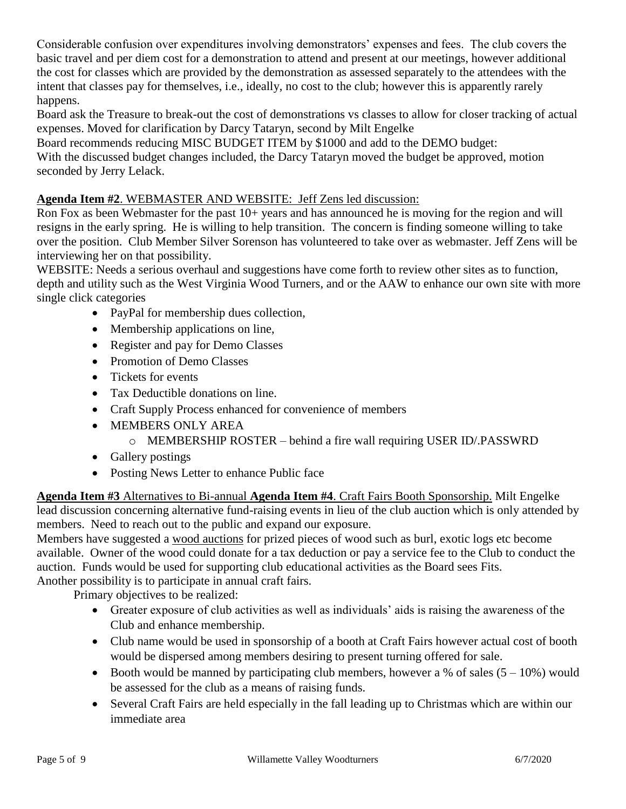Considerable confusion over expenditures involving demonstrators' expenses and fees. The club covers the basic travel and per diem cost for a demonstration to attend and present at our meetings, however additional the cost for classes which are provided by the demonstration as assessed separately to the attendees with the intent that classes pay for themselves, i.e., ideally, no cost to the club; however this is apparently rarely happens.

Board ask the Treasure to break-out the cost of demonstrations vs classes to allow for closer tracking of actual expenses. Moved for clarification by Darcy Tataryn, second by Milt Engelke

Board recommends reducing MISC BUDGET ITEM by \$1000 and add to the DEMO budget:

With the discussed budget changes included, the Darcy Tataryn moved the budget be approved, motion seconded by Jerry Lelack.

# **Agenda Item #2**. WEBMASTER AND WEBSITE: Jeff Zens led discussion:

Ron Fox as been Webmaster for the past  $10+$  years and has announced he is moving for the region and will resigns in the early spring. He is willing to help transition. The concern is finding someone willing to take over the position. Club Member Silver Sorenson has volunteered to take over as webmaster. Jeff Zens will be interviewing her on that possibility.

WEBSITE: Needs a serious overhaul and suggestions have come forth to review other sites as to function, depth and utility such as the West Virginia Wood Turners, and or the AAW to enhance our own site with more single click categories

- PayPal for membership dues collection,
- Membership applications on line,
- Register and pay for Demo Classes
- Promotion of Demo Classes
- Tickets for events
- Tax Deductible donations on line.
- Craft Supply Process enhanced for convenience of members
- MEMBERS ONLY AREA
	- o MEMBERSHIP ROSTER behind a fire wall requiring USER ID/.PASSWRD
- Gallery postings
- Posting News Letter to enhance Public face

**Agenda Item #3** Alternatives to Bi-annual **Agenda Item #4**. Craft Fairs Booth Sponsorship. Milt Engelke lead discussion concerning alternative fund-raising events in lieu of the club auction which is only attended by members. Need to reach out to the public and expand our exposure.

Members have suggested a wood auctions for prized pieces of wood such as burl, exotic logs etc become available. Owner of the wood could donate for a tax deduction or pay a service fee to the Club to conduct the auction. Funds would be used for supporting club educational activities as the Board sees Fits. Another possibility is to participate in annual craft fairs.

Primary objectives to be realized:

- Greater exposure of club activities as well as individuals' aids is raising the awareness of the Club and enhance membership.
- Club name would be used in sponsorship of a booth at Craft Fairs however actual cost of booth would be dispersed among members desiring to present turning offered for sale.
- Booth would be manned by participating club members, however a % of sales  $(5 10\%)$  would be assessed for the club as a means of raising funds.
- Several Craft Fairs are held especially in the fall leading up to Christmas which are within our immediate area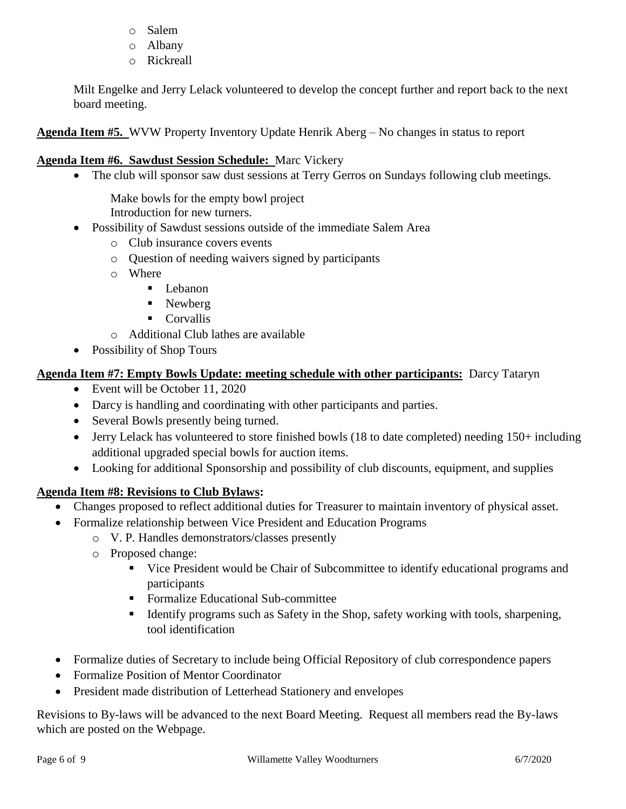- o Salem
- o Albany
- o Rickreall

Milt Engelke and Jerry Lelack volunteered to develop the concept further and report back to the next board meeting.

**Agenda Item #5.** WVW Property Inventory Update Henrik Aberg – No changes in status to report

### **Agenda Item #6. Sawdust Session Schedule:** Marc Vickery

• The club will sponsor saw dust sessions at Terry Gerros on Sundays following club meetings.

Make bowls for the empty bowl project Introduction for new turners.

- Possibility of Sawdust sessions outside of the immediate Salem Area
	- o Club insurance covers events
	- o Question of needing waivers signed by participants
	- o Where
		- **Lebanon**
		- Newberg
		- Corvallis
	- o Additional Club lathes are available
- Possibility of Shop Tours

### **Agenda Item #7: Empty Bowls Update: meeting schedule with other participants:** Darcy Tataryn

- Event will be October 11, 2020
- Darcy is handling and coordinating with other participants and parties.
- Several Bowls presently being turned.
- Jerry Lelack has volunteered to store finished bowls (18 to date completed) needing 150+ including additional upgraded special bowls for auction items.
- Looking for additional Sponsorship and possibility of club discounts, equipment, and supplies

### **Agenda Item #8: Revisions to Club Bylaws:**

- Changes proposed to reflect additional duties for Treasurer to maintain inventory of physical asset.
- Formalize relationship between Vice President and Education Programs
	- o V. P. Handles demonstrators/classes presently
	- o Proposed change:
		- Vice President would be Chair of Subcommittee to identify educational programs and participants
		- **Formalize Educational Sub-committee**
		- Identify programs such as Safety in the Shop, safety working with tools, sharpening, tool identification
- Formalize duties of Secretary to include being Official Repository of club correspondence papers
- Formalize Position of Mentor Coordinator
- President made distribution of Letterhead Stationery and envelopes

Revisions to By-laws will be advanced to the next Board Meeting. Request all members read the By-laws which are posted on the Webpage.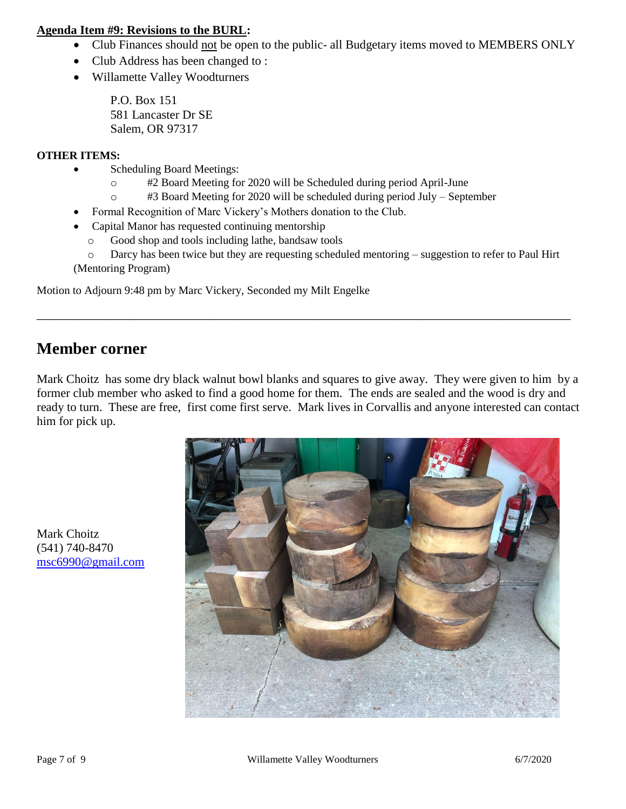### **Agenda Item #9: Revisions to the BURL:**

- Club Finances should not be open to the public- all Budgetary items moved to MEMBERS ONLY
- Club Address has been changed to :
- Willamette Valley Woodturners

P.O. Box 151 581 Lancaster Dr SE Salem, OR 97317

### **OTHER ITEMS:**

- Scheduling Board Meetings:
	- o #2 Board Meeting for 2020 will be Scheduled during period April-June
	- o #3 Board Meeting for 2020 will be scheduled during period July September
- Formal Recognition of Marc Vickery's Mothers donation to the Club.
- Capital Manor has requested continuing mentorship
	- o Good shop and tools including lathe, bandsaw tools
- o Darcy has been twice but they are requesting scheduled mentoring suggestion to refer to Paul Hirt (Mentoring Program)

Motion to Adjourn 9:48 pm by Marc Vickery, Seconded my Milt Engelke

# **Member corner**

Mark Choitz has some dry black walnut bowl blanks and squares to give away. They were given to him by a former club member who asked to find a good home for them. The ends are sealed and the wood is dry and ready to turn. These are free, first come first serve. Mark lives in Corvallis and anyone interested can contact him for pick up.

\_\_\_\_\_\_\_\_\_\_\_\_\_\_\_\_\_\_\_\_\_\_\_\_\_\_\_\_\_\_\_\_\_\_\_\_\_\_\_\_\_\_\_\_\_\_\_\_\_\_\_\_\_\_\_\_\_\_\_\_\_\_\_\_\_\_\_\_\_\_\_\_\_\_\_\_\_\_\_\_\_\_\_\_\_\_\_



Mark Choitz (541) 740-8470 [msc6990@gmail.com](mailto:msc6990@gmail.com)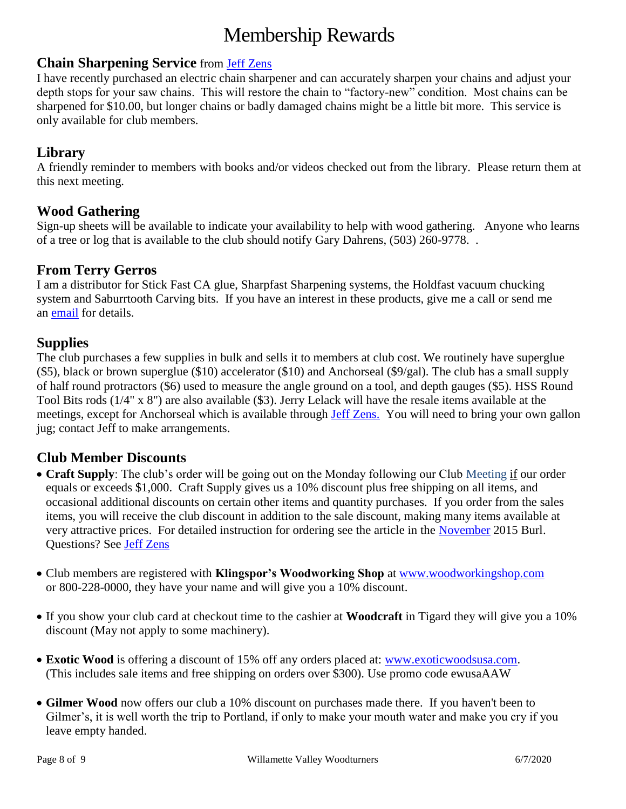# Membership Rewards

### **Chain Sharpening Service** from [Jeff Zens](mailto:PrezWVW@gmail.com)

I have recently purchased an electric chain sharpener and can accurately sharpen your chains and adjust your depth stops for your saw chains. This will restore the chain to "factory-new" condition. Most chains can be sharpened for \$10.00, but longer chains or badly damaged chains might be a little bit more. This service is only available for club members.

## **Library**

A friendly reminder to members with books and/or videos checked out from the library. Please return them at this next meeting.

# **Wood Gathering**

Sign-up sheets will be available to indicate your availability to help with wood gathering. Anyone who learns of a tree or log that is available to the club should notify Gary Dahrens, (503) 260-9778. .

### **From Terry Gerros**

I am a distributor for Stick Fast CA glue, Sharpfast Sharpening systems, the Holdfast vacuum chucking system and Saburrtooth Carving bits. If you have an interest in these products, give me a call or send me an [email](mailto:gerrost@yahoo.com) for details.

### **Supplies**

The club purchases a few supplies in bulk and sells it to members at club cost. We routinely have superglue (\$5), black or brown superglue (\$10) accelerator (\$10) and Anchorseal (\$9/gal). The club has a small supply of half round protractors (\$6) used to measure the angle ground on a tool, and depth gauges (\$5). HSS Round Tool Bits rods (1/4" x 8") are also available (\$3). Jerry Lelack will have the resale items available at the meetings, except for Anchorseal which is available through [Jeff Zens.](mailto:PrezWVW@gmail.com) You will need to bring your own gallon jug; contact Jeff to make arrangements.

# **Club Member Discounts**

- **Craft Supply**: The club's order will be going out on the Monday following our Club Meeting if our order equals or exceeds \$1,000. Craft Supply gives us a 10% discount plus free shipping on all items, and occasional additional discounts on certain other items and quantity purchases. If you order from the sales items, you will receive the club discount in addition to the sale discount, making many items available at very attractive prices. For detailed instruction for ordering see the article in the [November](http://www.willamettevalleywoodturners.com/newsletters/2015_11_WVW_Newsletter.pdf) 2015 Burl. Questions? See [Jeff Zens](mailto:PrezWVW@gmail.com)
- Club members are registered with **Klingspor's Woodworking Shop** at [www.woodworkingshop.com](http://www.woodworkingshop.com/)  or 800-228-0000, they have your name and will give you a 10% discount.
- If you show your club card at checkout time to the cashier at **Woodcraft** in Tigard they will give you a 10% discount (May not apply to some machinery).
- **Exotic Wood** is offering a discount of 15% off any orders placed at: [www.exoticwoodsusa.com.](http://www.exoticwoodsusa.com/) (This includes sale items and free shipping on orders over \$300). Use promo code ewusaAAW
- **Gilmer Wood** now offers our club a 10% discount on purchases made there. If you haven't been to Gilmer's, it is well worth the trip to Portland, if only to make your mouth water and make you cry if you leave empty handed.